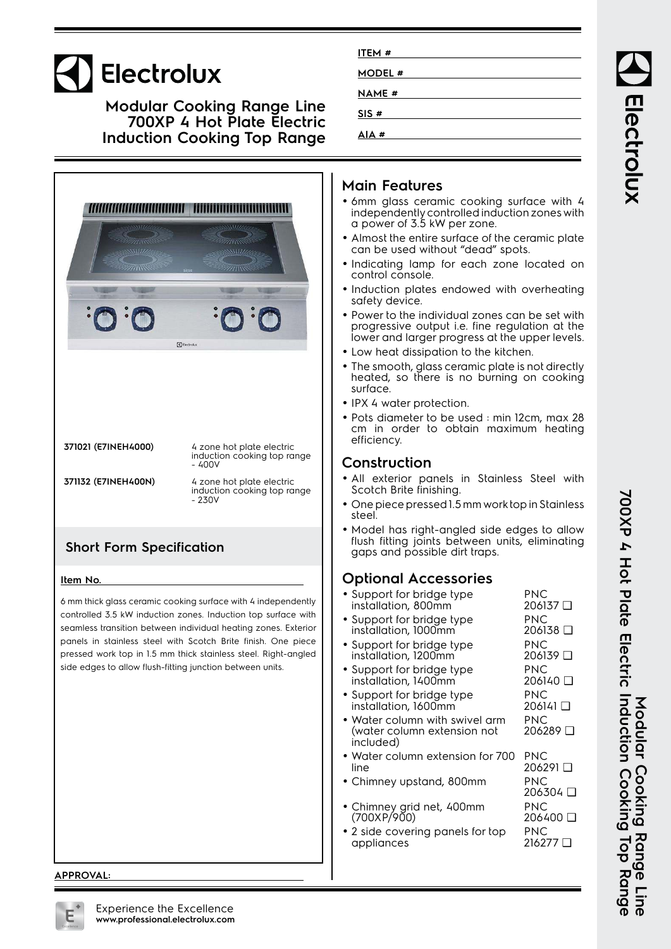# Electrolux

**Modular Cooking Range Line 700XP 4 Hot Plate Electric Induction Cooking Top Range**



**371021 (E7INEH4000)** 4 zone hot plate electric induction cooking top range - 400V

**371132 (E7INEH400N)** 4 zone hot plate electric induction cooking top range  $-230v$ 

## **Short Form Specification**

#### **Item No.**

6 mm thick glass ceramic cooking surface with 4 independently controlled 3.5 kW induction zones. Induction top surface with seamless transition between individual heating zones. Exterior panels in stainless steel with Scotch Brite finish. One piece pressed work top in 1.5 mm thick stainless steel. Right-angled side edges to allow flush-fitting junction between units.

#### **APPROVAL:**

| ITEM #        |  |
|---------------|--|
| MODEL #       |  |
| <b>NAME</b> # |  |
| SIS #         |  |
| AIA#          |  |

#### **Main Features**

- 6mm glass ceramic cooking surface with 4 independently controlled induction zones with a power of 3.5 kW per zone.
- • Almost the entire surface of the ceramic plate can be used without "dead" spots.
- Indicating lamp for each zone located on control console.
- Induction plates endowed with overheating safety device.
- Power to the individual zones can be set with progressive output i.e. fine regulation at the lower and larger progress at the upper levels.
- Low heat dissipation to the kitchen.
- • The smooth, glass ceramic plate is not directly heated, so there is no burning on cooking surface.
- IPX 4 water protection.
- Pots diameter to be used : min 12cm, max 28 cm in order to obtain maximum heating efficiency.

#### **Construction**

- All exterior panels in Stainless Steel with Scotch Brite finishing.
- One piece pressed 1.5 mm work top in Stainless steel.
- • Model has right-angled side edges to allow flush fitting joints between units, eliminating gaps and possible dirt traps.

## **Optional Accessories**

| • Support for bridge type<br>installation, 800mm                                   | PNC<br>⊔ 206137        |
|------------------------------------------------------------------------------------|------------------------|
| • Support for bridge type<br>installation, 1000mm                                  | PNC<br>206138 □        |
| $\bullet$ Support for bridge type<br>installation, 1200mm                          | <b>PNC</b><br>206139 □ |
| $\bullet$ Support for bridge type<br>installation, 1400mm                          | PNC<br>206140 □        |
| • Support for bridge type<br>installation, 1600mm                                  | PNC<br>ם ו14062        |
| $\bullet$ Water column with swivel arm<br>(water column extension not<br>included) | PNC<br>206289 □        |
| $\bullet$ Water column extension for 700<br>line                                   | PNC<br>ם ו2062         |
| • Chimney upstand, 800mm                                                           | PNC<br>206304 □        |
| · Chimney grid net, 400mm<br>(700XP/900)                                           | PNC<br>206400 ❑        |
| • 2 side covering panels for top<br>appliances                                     | PNC<br>ם 216277        |

Electrolux

700XP 4 Hot Plate Electric Induction Cooking Top Range **700XP 4 Hot Plate Electric Induction Cooking Top Range** Modular Cooking Range Line **Modular Cooking Range Line**

Experience the Excellence **www.professional.electrolux.com**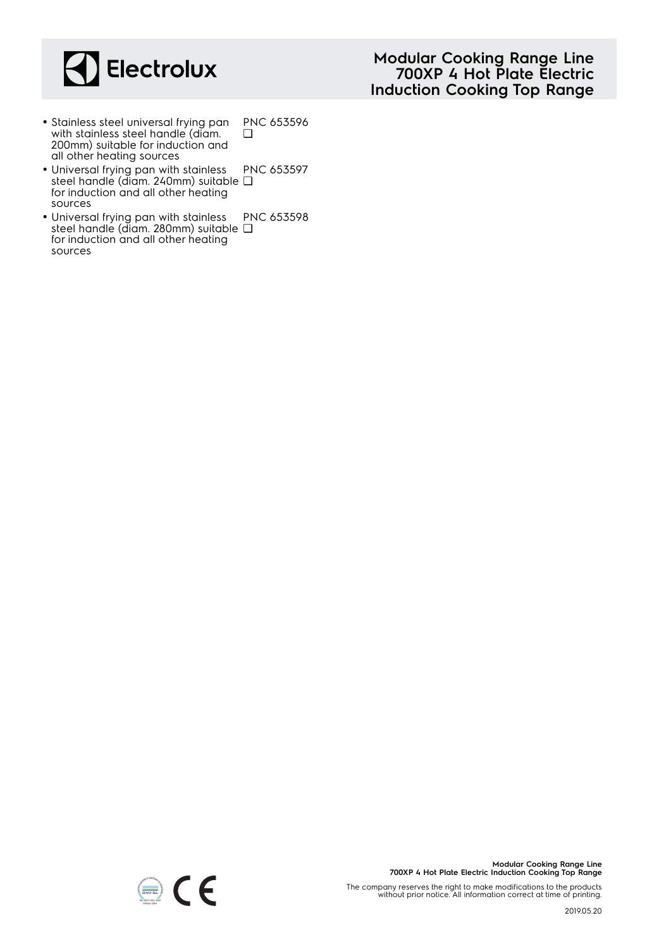

- Stainless steel universal frying pan with stainless steel handle (diam. 200mm) suitable for induction and all other heating sources PNC 653596  $\Box$
- Universal frying pan with stainless steel handle (diam. 240mm) suitable ❑ for induction and all other heating sources PNC 653597
- Universal frying pan with stainless steel handle (diam. 280mm) suitable ❑for induction and all other heating sources PNC 653598

**Modular Cooking Range Line 700XP 4 Hot Plate Electric Induction Cooking Top Range**

The company reserves the right to make modifications to the products without prior notice. All information correct at time of printing.